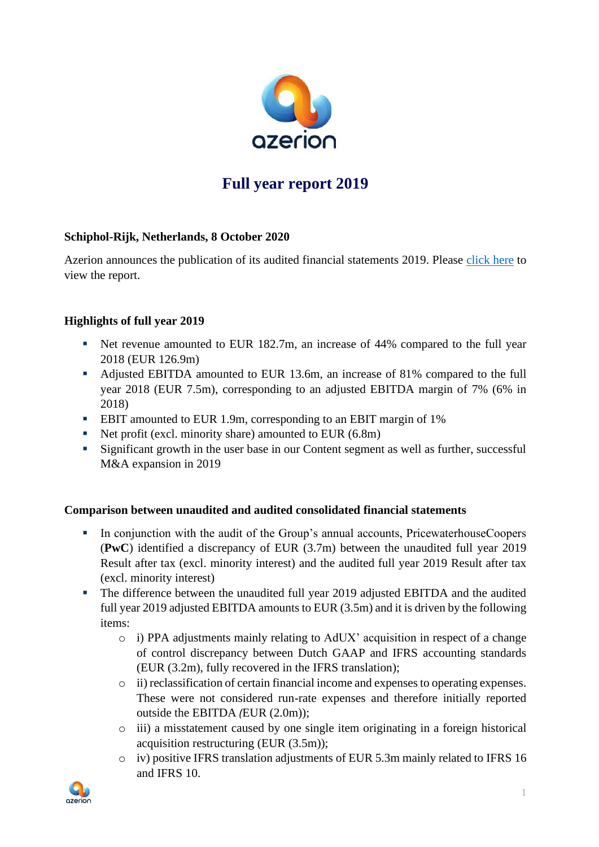

# **Full year report 2019**

## **Schiphol-Rijk, Netherlands, 8 October 2020**

Azerion announces the publication of its audited financial statements 2019. Please [click here](https://azerion-investors.com/wp-content/uploads/2020/10/Azerion-Consolidated-Financial-Statements-2019-incl.-Auditors-Report.pdf) to view the report.

## **Highlights of full year 2019**

- Net revenue amounted to EUR 182.7m, an increase of 44% compared to the full year 2018 (EUR 126.9m)
- Adjusted EBITDA amounted to EUR 13.6m, an increase of 81% compared to the full year 2018 (EUR 7.5m), corresponding to an adjusted EBITDA margin of 7% (6% in 2018)
- EBIT amounted to EUR 1.9m, corresponding to an EBIT margin of 1%
- $\blacksquare$  Net profit (excl. minority share) amounted to EUR (6.8m)
- Significant growth in the user base in our Content segment as well as further, successful M&A expansion in 2019

#### **Comparison between unaudited and audited consolidated financial statements**

- In conjunction with the audit of the Group's annual accounts, PricewaterhouseCoopers (**PwC**) identified a discrepancy of EUR (3.7m) between the unaudited full year 2019 Result after tax (excl. minority interest) and the audited full year 2019 Result after tax (excl. minority interest)
- The difference between the unaudited full year 2019 adjusted EBITDA and the audited full year 2019 adjusted EBITDA amounts to EUR (3.5m) and it is driven by the following items:
	- o i) PPA adjustments mainly relating to AdUX' acquisition in respect of a change of control discrepancy between Dutch GAAP and IFRS accounting standards (EUR (3.2m), fully recovered in the IFRS translation);
	- o ii) reclassification of certain financial income and expenses to operating expenses. These were not considered run-rate expenses and therefore initially reported outside the EBITDA *(*EUR (2.0m));
	- o iii) a misstatement caused by one single item originating in a foreign historical acquisition restructuring (EUR (3.5m));
	- o iv) positive IFRS translation adjustments of EUR 5.3m mainly related to IFRS 16 and IFRS 10.